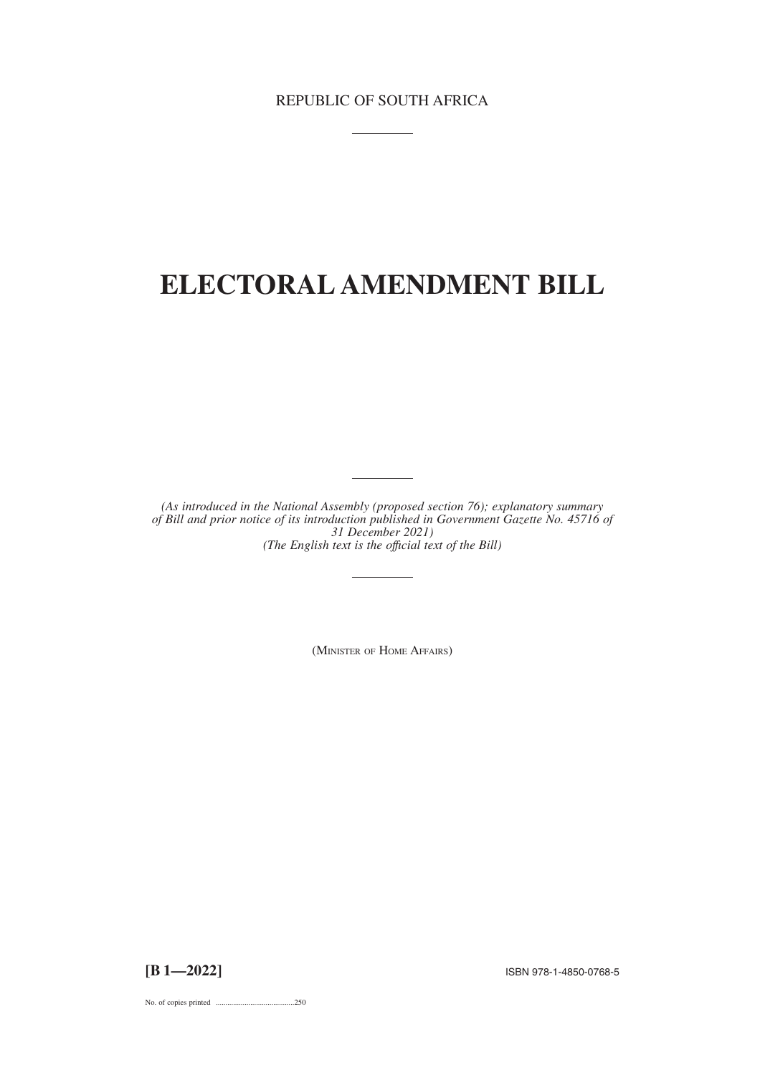# **ELECTORAL AMENDMENT BILL**

*(As introduced in the National Assembly (proposed section 76); explanatory summary of Bill and prior notice of its introduction published in Government Gazette No. 45716 of 31 December 2021) (The English text is the offıcial text of the Bill)*

(MINISTER OF HOME AFFAIRS)

**[B 1—2022]** ISBN 978-1-4850-0768-5

No. of copies printed .........................................250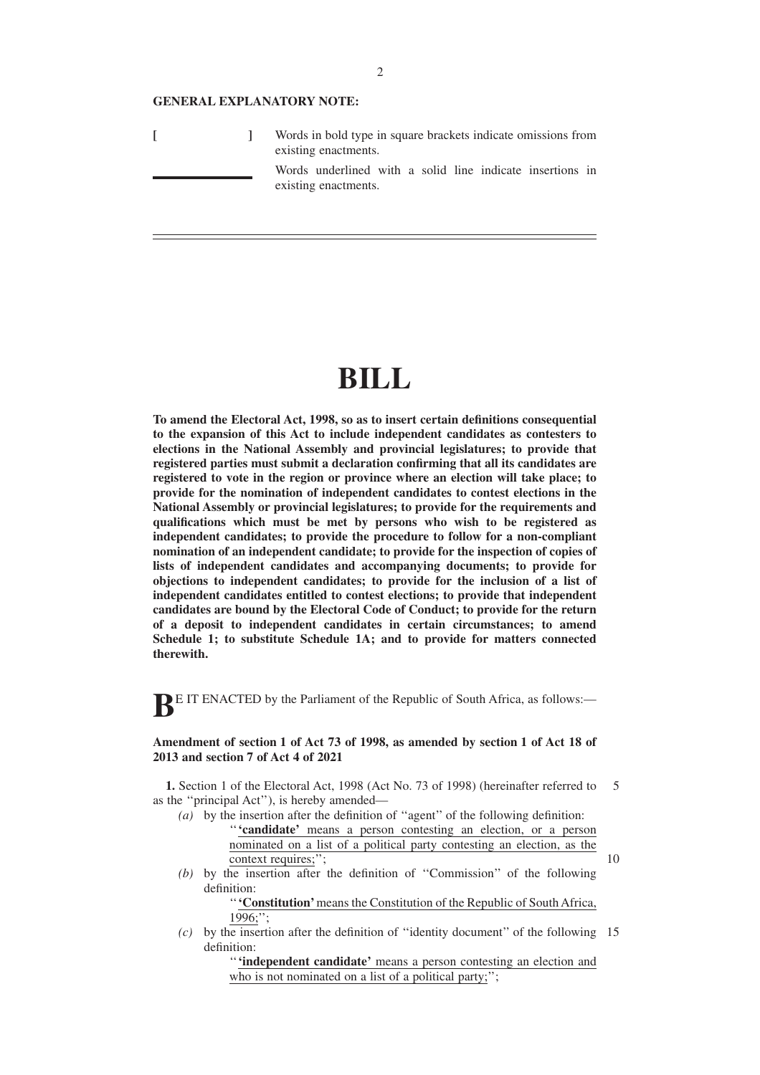#### **GENERAL EXPLANATORY NOTE:**

**[ ]** Words in bold type in square brackets indicate omissions from existing enactments.

Words underlined with a solid line indicate insertions in existing enactments.

# **BILL**

**To amend the Electoral Act, 1998, so as to insert certain definitions consequential to the expansion of this Act to include independent candidates as contesters to elections in the National Assembly and provincial legislatures; to provide that registered parties must submit a declaration confirming that all its candidates are registered to vote in the region or province where an election will take place; to provide for the nomination of independent candidates to contest elections in the National Assembly or provincial legislatures; to provide for the requirements and qualifications which must be met by persons who wish to be registered as independent candidates; to provide the procedure to follow for a non-compliant nomination of an independent candidate; to provide for the inspection of copies of lists of independent candidates and accompanying documents; to provide for objections to independent candidates; to provide for the inclusion of a list of independent candidates entitled to contest elections; to provide that independent candidates are bound by the Electoral Code of Conduct; to provide for the return of a deposit to independent candidates in certain circumstances; to amend Schedule 1; to substitute Schedule 1A; and to provide for matters connected therewith.**

**BE IT ENACTED** by the Parliament of the Republic of South Africa, as follows:-

## **Amendment of section 1 of Act 73 of 1998, as amended by section 1 of Act 18 of 2013 and section 7 of Act 4 of 2021**

**1.** Section 1 of the Electoral Act, 1998 (Act No. 73 of 1998) (hereinafter referred to as the ''principal Act''), is hereby amended— 5

- *(a)* by the insertion after the definition of ''agent'' of the following definition: ''**'candidate'** means a person contesting an election, or a person nominated on a list of a political party contesting an election, as the context requires;";
- *(b)* by the insertion after the definition of ''Commission'' of the following definition:

''**'Constitution'**means the Constitution of the Republic of South Africa, 1996;'';

10

*(c)* by the insertion after the definition of ''identity document'' of the following 15definition:

> ''**'independent candidate'** means a person contesting an election and who is not nominated on a list of a political party;";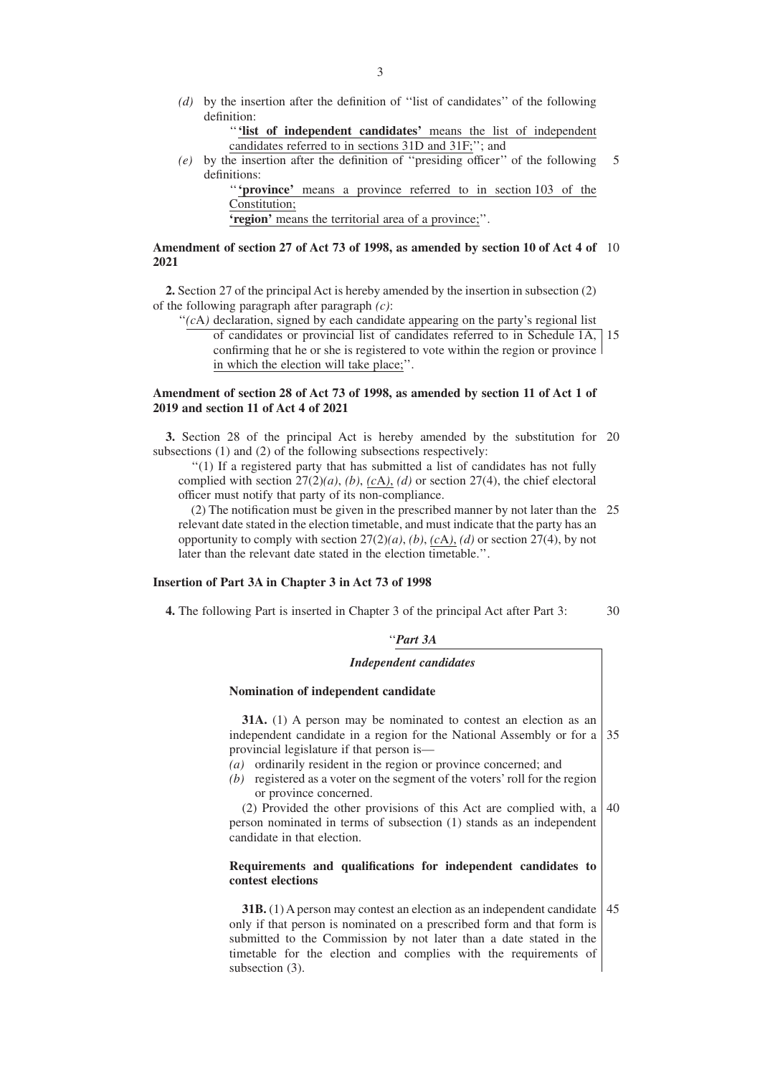*(d)* by the insertion after the definition of ''list of candidates'' of the following definition:

```
'''list of independent candidates' means the list of independent
candidates referred to in sections 31D and 31F;''; and
```
*(e)* by the insertion after the definition of ''presiding officer'' of the following definitions: 5

> "'**province**' means a province referred to in section 103 of the Constitution;

**'region'** means the territorial area of a province;''.

### **Amendment of section 27 of Act 73 of 1998, as amended by section 10 of Act 4 of** 10 **2021**

**2.** Section 27 of the principal Act is hereby amended by the insertion in subsection (2) of the following paragraph after paragraph *(c)*:

"(*c*A) declaration, signed by each candidate appearing on the party's regional list of candidates or provincial list of candidates referred to in Schedule 1A, 15 confirming that he or she is registered to vote within the region or province in which the election will take place;''.

## **Amendment of section 28 of Act 73 of 1998, as amended by section 11 of Act 1 of 2019 and section 11 of Act 4 of 2021**

**3.** Section 28 of the principal Act is hereby amended by the substitution for 20 subsections (1) and (2) of the following subsections respectively:

''(1) If a registered party that has submitted a list of candidates has not fully complied with section 27(2)*(a)*, *(b)*, *(c*A*)*, *(d)* or section 27(4), the chief electoral officer must notify that party of its non-compliance.

(2) The notification must be given in the prescribed manner by not later than the 25 relevant date stated in the election timetable, and must indicate that the party has an opportunity to comply with section  $27(2)(a)$ , *(b)*, *(cA)*, *(d)* or section 27(4), by not later than the relevant date stated in the election timetable.".

## **Insertion of Part 3A in Chapter 3 in Act 73 of 1998**

**4.** The following Part is inserted in Chapter 3 of the principal Act after Part 3:

''*Part 3A*

## *Independent candidates*

### **Nomination of independent candidate**

**31A.** (1) A person may be nominated to contest an election as an independent candidate in a region for the National Assembly or for a provincial legislature if that person is— 35

- *(a)* ordinarily resident in the region or province concerned; and
- *(b)* registered as a voter on the segment of the voters' roll for the region or province concerned.

(2) Provided the other provisions of this Act are complied with, a person nominated in terms of subsection (1) stands as an independent candidate in that election. 40

#### **Requirements and qualifications for independent candidates to contest elections**

**31B.** (1) A person may contest an election as an independent candidate | 45 only if that person is nominated on a prescribed form and that form is submitted to the Commission by not later than a date stated in the timetable for the election and complies with the requirements of subsection (3).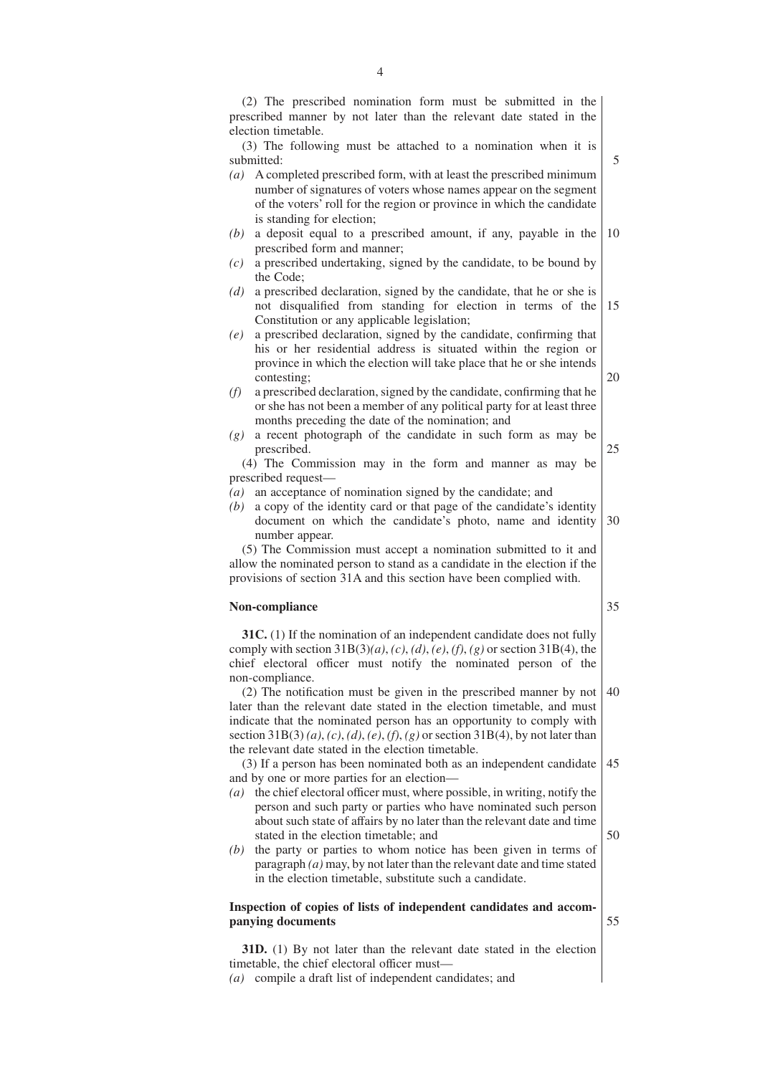|     | prescribed manner by not later than the relevant date stated in the                                                                 |
|-----|-------------------------------------------------------------------------------------------------------------------------------------|
|     | election timetable.                                                                                                                 |
|     | (3) The following must be attached to a nomination when it is                                                                       |
|     | submitted:                                                                                                                          |
| (a) | A completed prescribed form, with at least the prescribed minimum                                                                   |
|     | number of signatures of voters whose names appear on the segment                                                                    |
|     | of the voters' roll for the region or province in which the candidate                                                               |
|     | is standing for election;                                                                                                           |
| (b) | a deposit equal to a prescribed amount, if any, payable in the                                                                      |
|     | prescribed form and manner;                                                                                                         |
| (c) | a prescribed undertaking, signed by the candidate, to be bound by                                                                   |
|     | the Code;                                                                                                                           |
| (d) | a prescribed declaration, signed by the candidate, that he or she is                                                                |
|     | not disqualified from standing for election in terms of the                                                                         |
|     | Constitution or any applicable legislation;                                                                                         |
| (e) | a prescribed declaration, signed by the candidate, confirming that                                                                  |
|     | his or her residential address is situated within the region or                                                                     |
|     | province in which the election will take place that he or she intends                                                               |
|     | contesting;                                                                                                                         |
| (f) | a prescribed declaration, signed by the candidate, confirming that he                                                               |
|     | or she has not been a member of any political party for at least three                                                              |
|     | months preceding the date of the nomination; and                                                                                    |
| (g) | a recent photograph of the candidate in such form as may be                                                                         |
|     | prescribed.                                                                                                                         |
|     | (4) The Commission may in the form and manner as may be                                                                             |
|     | prescribed request-                                                                                                                 |
| (a) | an acceptance of nomination signed by the candidate; and                                                                            |
| (b) | a copy of the identity card or that page of the candidate's identity                                                                |
|     |                                                                                                                                     |
|     |                                                                                                                                     |
|     | document on which the candidate's photo, name and identity                                                                          |
|     | number appear.                                                                                                                      |
|     | (5) The Commission must accept a nomination submitted to it and                                                                     |
|     | allow the nominated person to stand as a candidate in the election if the                                                           |
|     | provisions of section 31A and this section have been complied with.                                                                 |
|     |                                                                                                                                     |
|     | Non-compliance                                                                                                                      |
|     |                                                                                                                                     |
|     | 31C. (1) If the nomination of an independent candidate does not fully                                                               |
|     | comply with section $31B(3)(a)$ , (c), (d), (e), (f), (g) or section $31B(4)$ , the                                                 |
|     | chief electoral officer must notify the nominated person of the                                                                     |
|     | non-compliance.                                                                                                                     |
|     | (2) The notification must be given in the prescribed manner by not                                                                  |
|     | later than the relevant date stated in the election timetable, and must                                                             |
|     | indicate that the nominated person has an opportunity to comply with                                                                |
|     | section 31B(3)(a), (c), (d), (e), (f), (g) or section 31B(4), by not later than                                                     |
|     | the relevant date stated in the election timetable.                                                                                 |
|     | (3) If a person has been nominated both as an independent candidate                                                                 |
|     | and by one or more parties for an election-                                                                                         |
|     | $(a)$ the chief electoral officer must, where possible, in writing, notify the                                                      |
|     | person and such party or parties who have nominated such person                                                                     |
|     | about such state of affairs by no later than the relevant date and time                                                             |
|     | stated in the election timetable; and                                                                                               |
| (b) | the party or parties to whom notice has been given in terms of                                                                      |
|     | paragraph $(a)$ may, by not later than the relevant date and time stated<br>in the election timetable, substitute such a candidate. |

## **Inspection of copies of lists of independent candidates and accompanying documents**

**31D.** (1) By not later than the relevant date stated in the election timetable, the chief electoral officer must—

*(a)* compile a draft list of independent candidates; and

- 
-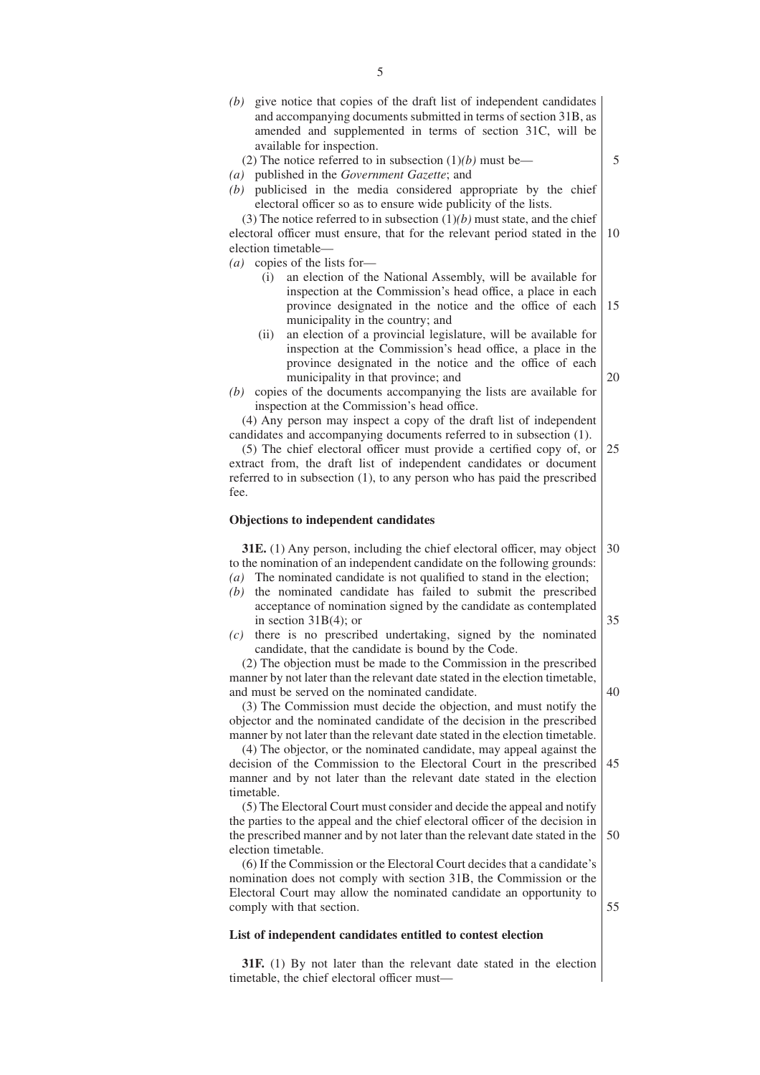- *(b)* give notice that copies of the draft list of independent candidates and accompanying documents submitted in terms of section 31B, as amended and supplemented in terms of section 31C, will be available for inspection.
	- (2) The notice referred to in subsection (1)*(b)* must be—
- *(a)* published in the *Government Gazette*; and
- *(b)* publicised in the media considered appropriate by the chief electoral officer so as to ensure wide publicity of the lists.

(3) The notice referred to in subsection (1)*(b)* must state, and the chief electoral officer must ensure, that for the relevant period stated in the election timetable— 10

- *(a)* copies of the lists for—
	- (i) an election of the National Assembly, will be available for inspection at the Commission's head office, a place in each province designated in the notice and the office of each municipality in the country; and 15

5

20

35

40

55

- (ii) an election of a provincial legislature, will be available for inspection at the Commission's head office, a place in the province designated in the notice and the office of each municipality in that province; and
- *(b)* copies of the documents accompanying the lists are available for inspection at the Commission's head office.

(4) Any person may inspect a copy of the draft list of independent candidates and accompanying documents referred to in subsection (1).

(5) The chief electoral officer must provide a certified copy of, or extract from, the draft list of independent candidates or document referred to in subsection (1), to any person who has paid the prescribed fee. 25

#### **Objections to independent candidates**

**31E.** (1) Any person, including the chief electoral officer, may object to the nomination of an independent candidate on the following grounds: *(a)* The nominated candidate is not qualified to stand in the election; 30

- *(b)* the nominated candidate has failed to submit the prescribed acceptance of nomination signed by the candidate as contemplated in section 31B(4); or
- *(c)* there is no prescribed undertaking, signed by the nominated candidate, that the candidate is bound by the Code.

(2) The objection must be made to the Commission in the prescribed manner by not later than the relevant date stated in the election timetable, and must be served on the nominated candidate.

(3) The Commission must decide the objection, and must notify the objector and the nominated candidate of the decision in the prescribed manner by not later than the relevant date stated in the election timetable.

(4) The objector, or the nominated candidate, may appeal against the decision of the Commission to the Electoral Court in the prescribed manner and by not later than the relevant date stated in the election timetable. 45

(5) The Electoral Court must consider and decide the appeal and notify the parties to the appeal and the chief electoral officer of the decision in the prescribed manner and by not later than the relevant date stated in the election timetable. 50

(6) If the Commission or the Electoral Court decides that a candidate's nomination does not comply with section 31B, the Commission or the Electoral Court may allow the nominated candidate an opportunity to comply with that section.

#### **List of independent candidates entitled to contest election**

**31F.** (1) By not later than the relevant date stated in the election timetable, the chief electoral officer must—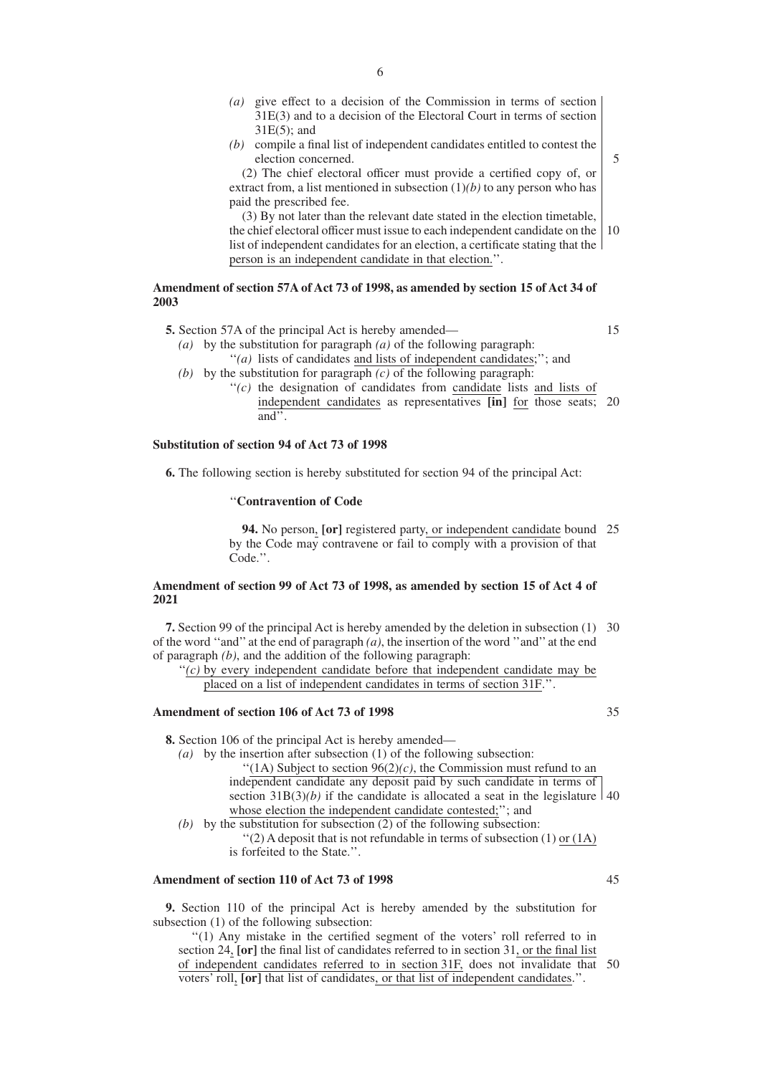- *(a)* give effect to a decision of the Commission in terms of section 31E(3) and to a decision of the Electoral Court in terms of section 31E(5); and
- *(b)* compile a final list of independent candidates entitled to contest the election concerned.

(2) The chief electoral officer must provide a certified copy of, or extract from, a list mentioned in subsection  $(1)(b)$  to any person who has paid the prescribed fee.

(3) By not later than the relevant date stated in the election timetable, the chief electoral officer must issue to each independent candidate on the list of independent candidates for an election, a certificate stating that the person is an independent candidate in that election.''. 10

## **Amendment of section 57A of Act 73 of 1998, as amended by section 15 of Act 34 of 2003**

**5.** Section 57A of the principal Act is hereby amended—

15

5

- *(a)* by the substitution for paragraph *(a)* of the following paragraph: ''*(a)* lists of candidates and lists of independent candidates;''; and
- *(b)* by the substitution for paragraph *(c)* of the following paragraph:
	- ''*(c)* the designation of candidates from candidate lists and lists of independent candidates as representatives **[in]** for those seats; 20 and''.

## **Substitution of section 94 of Act 73 of 1998**

**6.** The following section is hereby substituted for section 94 of the principal Act:

#### ''**Contravention of Code**

**94.** No person, **[or]** registered party, or independent candidate bound 25 by the Code may contravene or fail to comply with a provision of that Code.''.

#### **Amendment of section 99 of Act 73 of 1998, as amended by section 15 of Act 4 of 2021**

**7.** Section 99 of the principal Act is hereby amended by the deletion in subsection (1) 30 of the word ''and'' at the end of paragraph *(a)*, the insertion of the word ''and'' at the end of paragraph *(b)*, and the addition of the following paragraph:

 $f'(c)$  by every independent candidate before that independent candidate may be placed on a list of independent candidates in terms of section 31F.''.

### **Amendment of section 106 of Act 73 of 1998**

**8.** Section 106 of the principal Act is hereby amended—

*(a)* by the insertion after subsection (1) of the following subsection:  $\lq(1A)$  Subject to section 96(2)(c), the Commission must refund to an independent candidate any deposit paid by such candidate in terms of section  $31B(3)(b)$  if the candidate is allocated a seat in the legislature  $\vert 40 \rangle$ whose election the independent candidate contested;''; and

*(b)* by the substitution for subsection (2) of the following subsection:  $\lq(2)$  A deposit that is not refundable in terms of subsection (1) or (1A) is forfeited to the State.''.

### **Amendment of section 110 of Act 73 of 1998**

**9.** Section 110 of the principal Act is hereby amended by the substitution for subsection (1) of the following subsection:

''(1) Any mistake in the certified segment of the voters' roll referred to in section 24, **[or]** the final list of candidates referred to in section 31, or the final list of independent candidates referred to in section 31F, does not invalidate that 50voters' roll, **[or]** that list of candidates, or that list of independent candidates.''.

45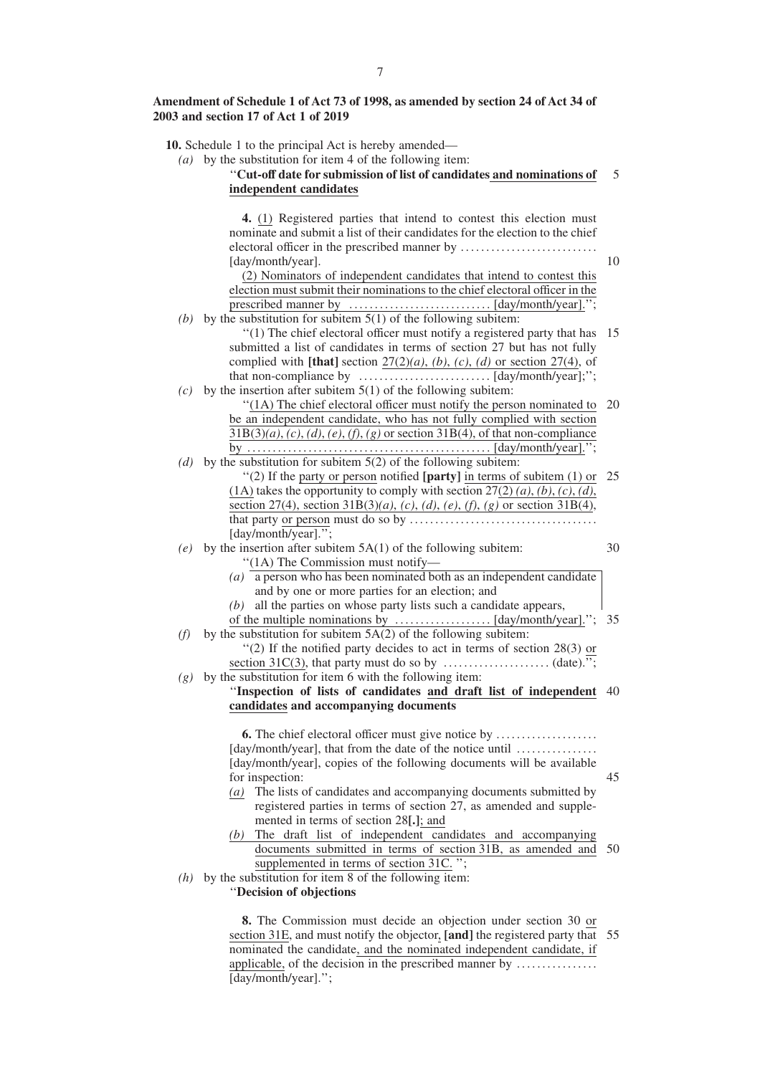## **Amendment of Schedule 1 of Act 73 of 1998, as amended by section 24 of Act 34 of 2003 and section 17 of Act 1 of 2019**

|            | 10. Schedule 1 to the principal Act is hereby amended—<br>(a) by the substitution for item 4 of the following item:<br>"Cut-off date for submission of list of candidates and nominations of<br>independent candidates                                                                                                           | 5  |
|------------|----------------------------------------------------------------------------------------------------------------------------------------------------------------------------------------------------------------------------------------------------------------------------------------------------------------------------------|----|
|            | 4. (1) Registered parties that intend to contest this election must<br>nominate and submit a list of their candidates for the election to the chief<br>[day/month/year].<br>(2) Nominators of independent candidates that intend to contest this<br>election must submit their nominations to the chief electoral officer in the | 10 |
| (b)        | by the substitution for subitem $5(1)$ of the following subitem:<br>"(1) The chief electoral officer must notify a registered party that has                                                                                                                                                                                     | 15 |
| (c)        | submitted a list of candidates in terms of section 27 but has not fully<br>complied with [that] section $27(2)(a)$ , (b), (c), (d) or section 27(4), of<br>by the insertion after subitem $5(1)$ of the following subitem:                                                                                                       |    |
|            | "(1A) The chief electoral officer must notify the person nominated to<br>be an independent candidate, who has not fully complied with section<br>$31B(3)(a)$ , (c), (d), (e), (f), (g) or section $31B(4)$ , of that non-compliance                                                                                              | 20 |
| (d)        | by the substitution for subitem $5(2)$ of the following subitem:<br>"(2) If the party or person notified [party] in terms of subitem $(1)$ or<br>(1A) takes the opportunity to comply with section $27(2)(a)$ , (b), (c), (d),<br>section 27(4), section 31B(3)(a), (c), (d), (e), (f), (g) or section 31B(4),                   | 25 |
| (e)        | [day/month/year].";<br>by the insertion after subitem $5A(1)$ of the following subitem:<br>"(1A) The Commission must notify-<br>(a) $\overline{a}$ person who has been nominated both as an independent candidate                                                                                                                | 30 |
|            | and by one or more parties for an election; and<br>$(b)$ all the parties on whose party lists such a candidate appears,                                                                                                                                                                                                          | 35 |
| (f)<br>(g) | by the substitution for subitem $5A(2)$ of the following subitem:<br>"(2) If the notified party decides to act in terms of section 28(3) or<br>by the substitution for item 6 with the following item:                                                                                                                           |    |
|            | "Inspection of lists of candidates and draft list of independent 40<br>candidates and accompanying documents                                                                                                                                                                                                                     |    |
|            | <b>6.</b> The chief electoral officer must give notice by                                                                                                                                                                                                                                                                        |    |

[day/month/year], that from the date of the notice until ................. [day/month/year], copies of the following documents will be available for inspection: *(a)* The lists of candidates and accompanying documents submitted by 45

- registered parties in terms of section 27, as amended and supplemented in terms of section 28**[.]**; and
- *(b)* The draft list of independent candidates and accompanying documents submitted in terms of section 31B, as amended and 50 supplemented in terms of section 31C. ";
- *(h)* by the substitution for item 8 of the following item:

''**Decision of objections**

**8.** The Commission must decide an objection under section 30 or section 31E, and must notify the objector, **[and]** the registered party that 55nominated the candidate, and the nominated independent candidate, if applicable, of the decision in the prescribed manner by ........................ [day/month/year].'';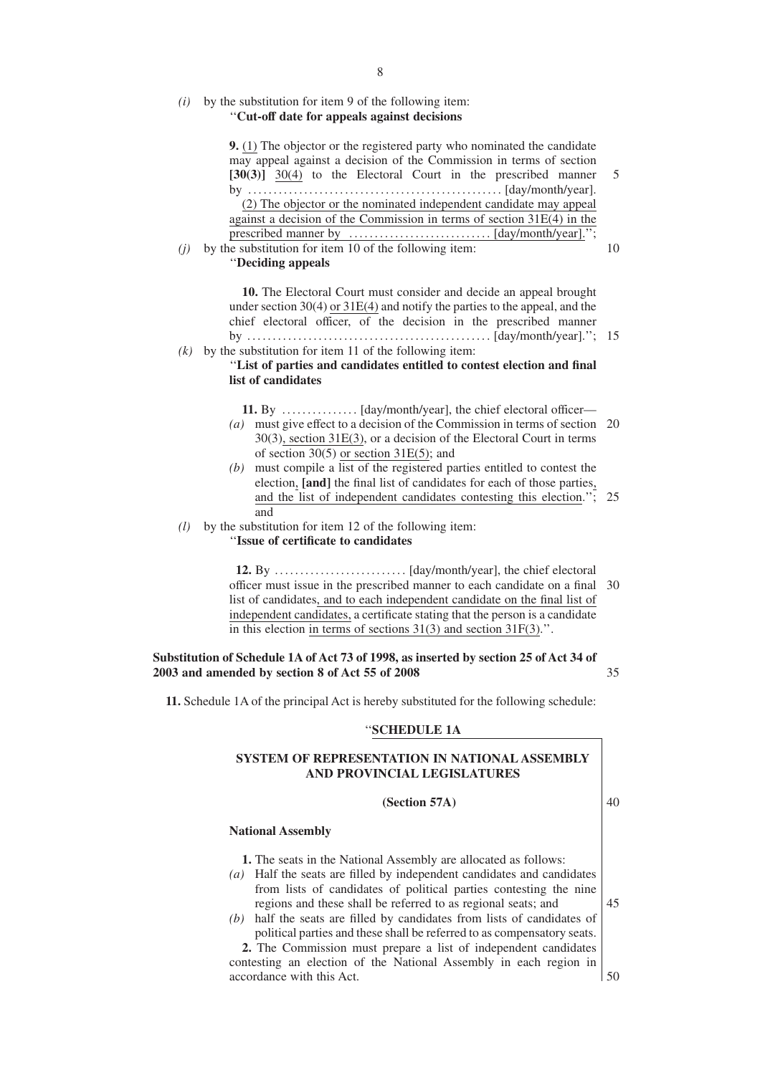## *(i)* by the substitution for item 9 of the following item: ''**Cut-off date for appeals against decisions**

| 9. (1) The objector or the registered party who nominated the candidate<br>may appeal against a decision of the Commission in terms of section<br>$[30(3)]$ 30(4) to the Electoral Court in the prescribed manner<br>(2) The objector or the nominated independent candidate may appeal<br>against a decision of the Commission in terms of section $31E(4)$ in the<br>by the substitution for item 10 of the following item:<br>(j)<br>"Deciding appeals                                                      |
|----------------------------------------------------------------------------------------------------------------------------------------------------------------------------------------------------------------------------------------------------------------------------------------------------------------------------------------------------------------------------------------------------------------------------------------------------------------------------------------------------------------|
| 10. The Electoral Court must consider and decide an appeal brought<br>under section $30(4)$ or $31E(4)$ and notify the parties to the appeal, and the<br>chief electoral officer, of the decision in the prescribed manner<br>by the substitution for item 11 of the following item:<br>(k)<br>"List of parties and candidates entitled to contest election and final<br>list of candidates                                                                                                                    |
| (a) must give effect to a decision of the Commission in terms of section<br>$30(3)$ , section $31E(3)$ , or a decision of the Electoral Court in terms<br>of section $30(5)$ or section $31E(5)$ ; and<br>$(b)$ must compile a list of the registered parties entitled to contest the<br>election, [and] the final list of candidates for each of those parties,<br>and the list of independent candidates contesting this election.";<br>and<br>(l)<br>by the substitution for item 12 of the following item: |
| "Issue of certificate to candidates<br>officer must issue in the prescribed manner to each candidate on a final<br>list of candidates, and to each independent candidate on the final list of<br>independent candidates, a certificate stating that the person is a candidate<br>in this election in terms of sections $31(3)$ and section $31F(3)$ .".                                                                                                                                                        |
| Substitution of Schedule 1A of Act 73 of 1998, as inserted by section 25 of Act 34 of<br>2003 and amended by section 8 of Act 55 of 2008                                                                                                                                                                                                                                                                                                                                                                       |
| 11. Schedule 1A of the principal Act is hereby substituted for the following schedule:                                                                                                                                                                                                                                                                                                                                                                                                                         |
| "SCHEDULE 1A                                                                                                                                                                                                                                                                                                                                                                                                                                                                                                   |
| SYSTEM OF REPRESENTATION IN NATIONAL ASSEMBLY<br>AND PROVINCIAL LEGISLATURES                                                                                                                                                                                                                                                                                                                                                                                                                                   |

## **(Section 57A)**

## **National Assembly**

**1.** The seats in the National Assembly are allocated as follows:

- *(a)* Half the seats are filled by independent candidates and candidates from lists of candidates of political parties contesting the nine regions and these shall be referred to as regional seats; and
- *(b)* half the seats are filled by candidates from lists of candidates of political parties and these shall be referred to as compensatory seats.

**2.** The Commission must prepare a list of independent candidates contesting an election of the National Assembly in each region in accordance with this Act.

40

45

50

5

10

15

20

25

30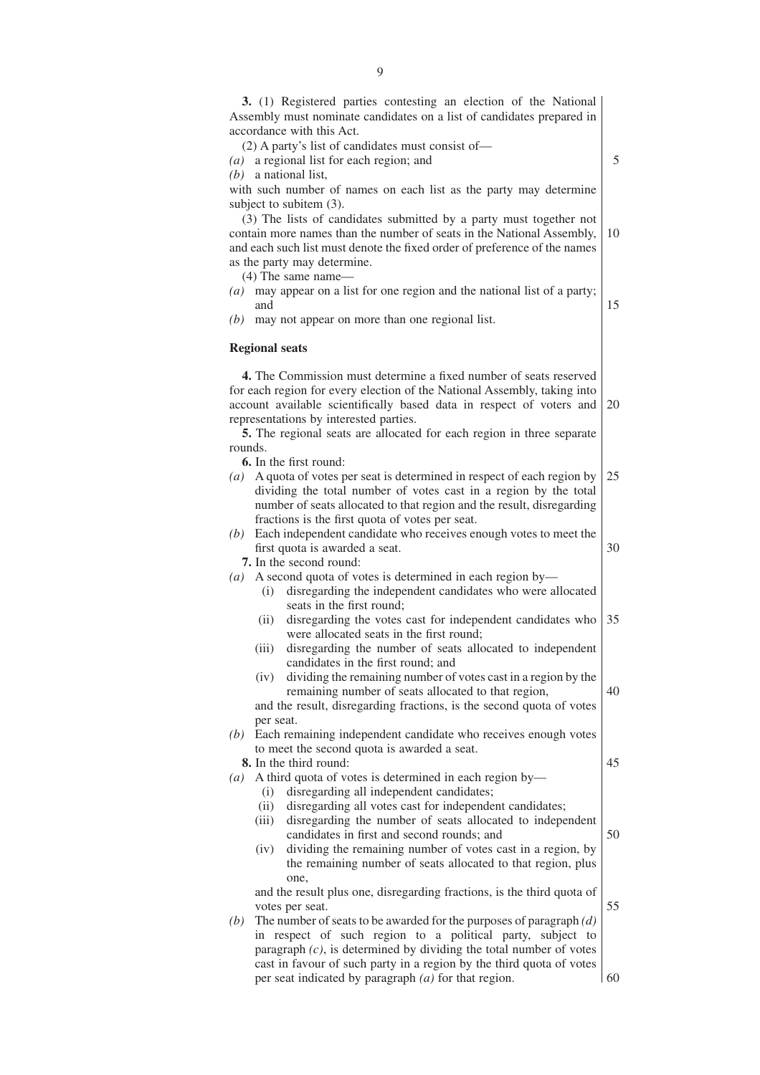|         | 3. (1) Registered parties contesting an election of the National<br>Assembly must nominate candidates on a list of candidates prepared in     |    |
|---------|-----------------------------------------------------------------------------------------------------------------------------------------------|----|
|         | accordance with this Act.<br>(2) A party's list of candidates must consist of—                                                                |    |
|         |                                                                                                                                               | 5  |
|         | $(a)$ a regional list for each region; and<br>$(b)$ a national list,                                                                          |    |
|         | with such number of names on each list as the party may determine                                                                             |    |
|         | subject to subitem (3).                                                                                                                       |    |
|         | (3) The lists of candidates submitted by a party must together not                                                                            |    |
|         | contain more names than the number of seats in the National Assembly,                                                                         | 10 |
|         | and each such list must denote the fixed order of preference of the names                                                                     |    |
|         | as the party may determine.                                                                                                                   |    |
|         | $(4)$ The same name—                                                                                                                          |    |
|         | $(a)$ may appear on a list for one region and the national list of a party;<br>and                                                            | 15 |
| (b)     | may not appear on more than one regional list.                                                                                                |    |
|         | <b>Regional seats</b>                                                                                                                         |    |
|         | 4. The Commission must determine a fixed number of seats reserved                                                                             |    |
|         | for each region for every election of the National Assembly, taking into                                                                      |    |
|         | account available scientifically based data in respect of voters and                                                                          | 20 |
|         | representations by interested parties.                                                                                                        |    |
|         | 5. The regional seats are allocated for each region in three separate                                                                         |    |
| rounds. |                                                                                                                                               |    |
|         | <b>6.</b> In the first round:                                                                                                                 |    |
|         | (a) A quota of votes per seat is determined in respect of each region by                                                                      | 25 |
|         | dividing the total number of votes cast in a region by the total                                                                              |    |
|         | number of seats allocated to that region and the result, disregarding                                                                         |    |
|         | fractions is the first quota of votes per seat.                                                                                               |    |
| (b)     | Each independent candidate who receives enough votes to meet the                                                                              |    |
|         | first quota is awarded a seat.                                                                                                                | 30 |
| (a)     | 7. In the second round:<br>A second quota of votes is determined in each region by-                                                           |    |
|         | disregarding the independent candidates who were allocated<br>(i)                                                                             |    |
|         | seats in the first round;                                                                                                                     |    |
|         | disregarding the votes cast for independent candidates who<br>(ii)                                                                            | 35 |
|         | were allocated seats in the first round;                                                                                                      |    |
|         | disregarding the number of seats allocated to independent<br>(iii)                                                                            |    |
|         | candidates in the first round; and                                                                                                            |    |
|         | dividing the remaining number of votes cast in a region by the<br>(iv)                                                                        |    |
|         | remaining number of seats allocated to that region,                                                                                           | 40 |
|         | and the result, disregarding fractions, is the second quota of votes                                                                          |    |
|         | per seat.                                                                                                                                     |    |
|         | (b) Each remaining independent candidate who receives enough votes                                                                            |    |
|         | to meet the second quota is awarded a seat.                                                                                                   |    |
|         | <b>8.</b> In the third round:                                                                                                                 | 45 |
| (a)     | A third quota of votes is determined in each region by-                                                                                       |    |
|         | disregarding all independent candidates;<br>(i)                                                                                               |    |
|         | disregarding all votes cast for independent candidates;<br>(ii)                                                                               |    |
|         | disregarding the number of seats allocated to independent<br>(iii)<br>candidates in first and second rounds; and                              | 50 |
|         | dividing the remaining number of votes cast in a region, by<br>(iv)                                                                           |    |
|         | the remaining number of seats allocated to that region, plus                                                                                  |    |
|         | one,                                                                                                                                          |    |
|         | and the result plus one, disregarding fractions, is the third quota of                                                                        | 55 |
| (b)     | votes per seat.<br>The number of seats to be awarded for the purposes of paragraph $(d)$                                                      |    |
|         |                                                                                                                                               |    |
|         |                                                                                                                                               |    |
|         | in respect of such region to a political party, subject to                                                                                    |    |
|         | paragraph $(c)$ , is determined by dividing the total number of votes<br>cast in favour of such party in a region by the third quota of votes |    |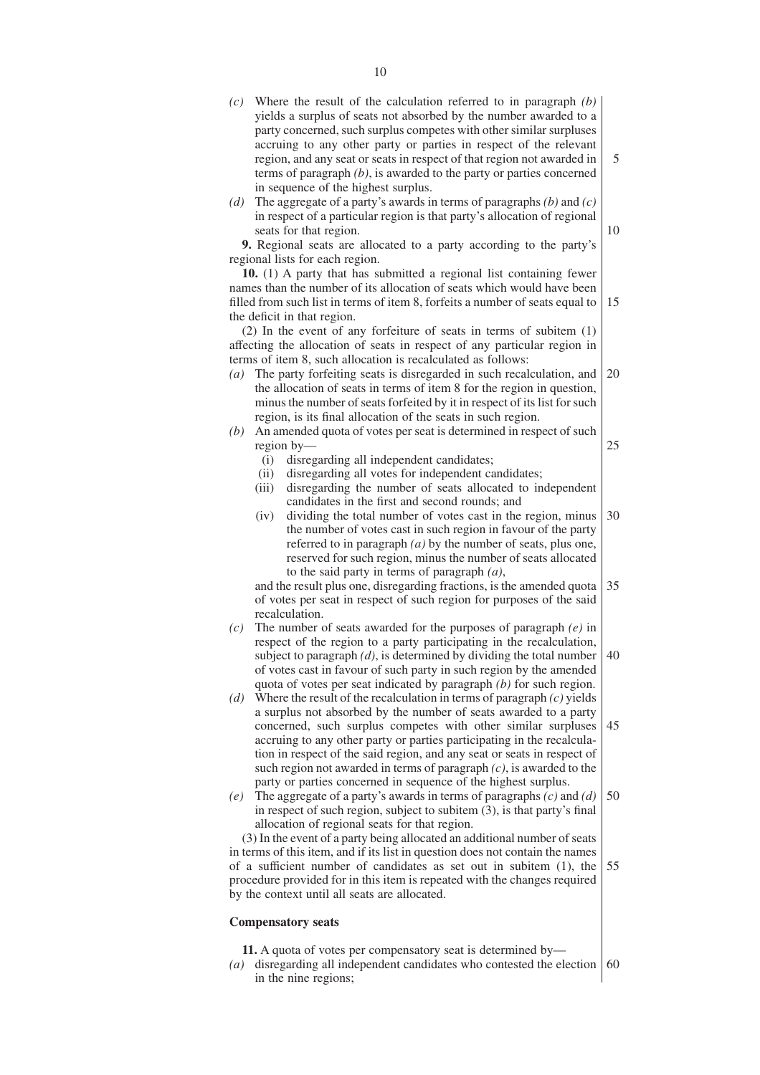*(c)* Where the result of the calculation referred to in paragraph *(b)* yields a surplus of seats not absorbed by the number awarded to a party concerned, such surplus competes with other similar surpluses accruing to any other party or parties in respect of the relevant region, and any seat or seats in respect of that region not awarded in terms of paragraph *(b)*, is awarded to the party or parties concerned in sequence of the highest surplus.

5

10

*(d)* The aggregate of a party's awards in terms of paragraphs *(b)* and *(c)* in respect of a particular region is that party's allocation of regional seats for that region.

**9.** Regional seats are allocated to a party according to the party's regional lists for each region.

**10.** (1) A party that has submitted a regional list containing fewer names than the number of its allocation of seats which would have been filled from such list in terms of item 8, forfeits a number of seats equal to the deficit in that region. 15

(2) In the event of any forfeiture of seats in terms of subitem (1) affecting the allocation of seats in respect of any particular region in terms of item 8, such allocation is recalculated as follows:

- *(a)* The party forfeiting seats is disregarded in such recalculation, and the allocation of seats in terms of item 8 for the region in question, minus the number of seats forfeited by it in respect of its list for such region, is its final allocation of the seats in such region. 20
- *(b)* An amended quota of votes per seat is determined in respect of such region by— 25
	- (i) disregarding all independent candidates;
	- (ii) disregarding all votes for independent candidates;
	- (iii) disregarding the number of seats allocated to independent candidates in the first and second rounds; and
	- (iv) dividing the total number of votes cast in the region, minus the number of votes cast in such region in favour of the party referred to in paragraph *(a)* by the number of seats, plus one, reserved for such region, minus the number of seats allocated to the said party in terms of paragraph *(a)*, 30

and the result plus one, disregarding fractions, is the amended quota of votes per seat in respect of such region for purposes of the said recalculation. 35

- *(c)* The number of seats awarded for the purposes of paragraph *(e)* in respect of the region to a party participating in the recalculation, subject to paragraph *(d)*, is determined by dividing the total number of votes cast in favour of such party in such region by the amended quota of votes per seat indicated by paragraph *(b)* for such region. 40
- *(d)* Where the result of the recalculation in terms of paragraph *(c)* yields a surplus not absorbed by the number of seats awarded to a party concerned, such surplus competes with other similar surpluses accruing to any other party or parties participating in the recalculation in respect of the said region, and any seat or seats in respect of such region not awarded in terms of paragraph *(c)*, is awarded to the party or parties concerned in sequence of the highest surplus. 45
- *(e)* The aggregate of a party's awards in terms of paragraphs *(c)* and *(d)* in respect of such region, subject to subitem (3), is that party's final allocation of regional seats for that region. 50

(3) In the event of a party being allocated an additional number of seats in terms of this item, and if its list in question does not contain the names of a sufficient number of candidates as set out in subitem (1), the procedure provided for in this item is repeated with the changes required by the context until all seats are allocated. 55

## **Compensatory seats**

- **11.** A quota of votes per compensatory seat is determined by—
- *(a)* disregarding all independent candidates who contested the election 60in the nine regions;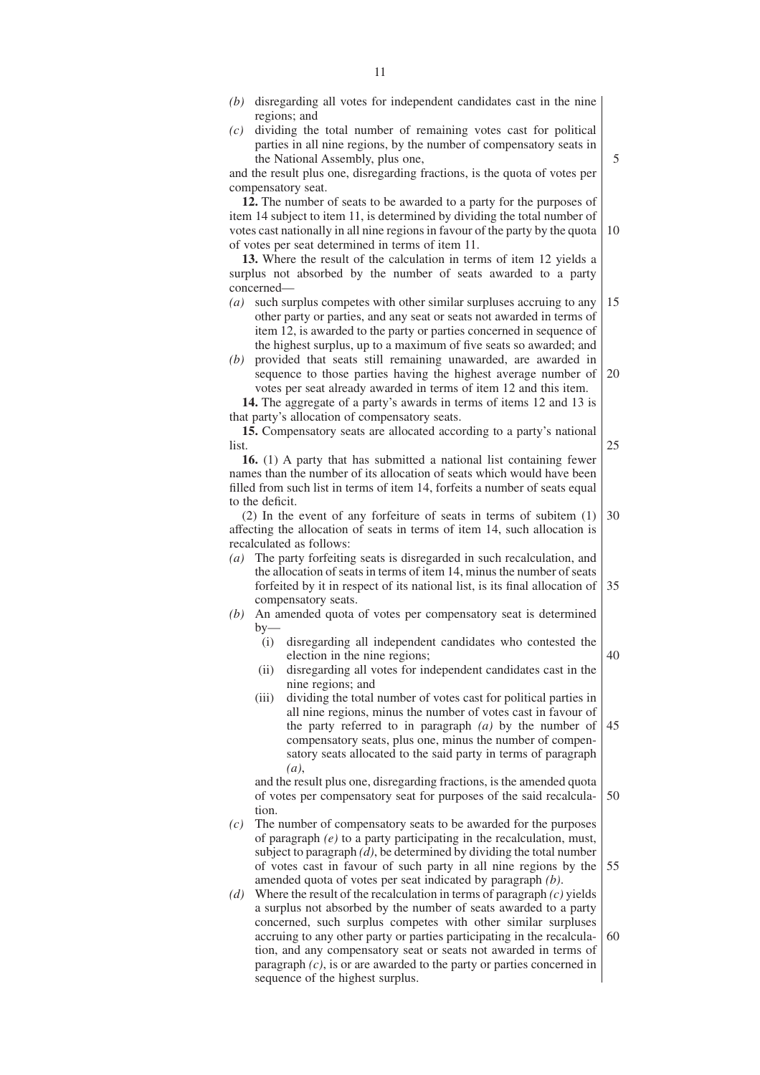regions; and *(c)* dividing the total number of remaining votes cast for political parties in all nine regions, by the number of compensatory seats in the National Assembly, plus one,

and the result plus one, disregarding fractions, is the quota of votes per compensatory seat.

**12.** The number of seats to be awarded to a party for the purposes of item 14 subject to item 11, is determined by dividing the total number of votes cast nationally in all nine regions in favour of the party by the quota of votes per seat determined in terms of item 11. 10

**13.** Where the result of the calculation in terms of item 12 yields a surplus not absorbed by the number of seats awarded to a party concerned—

- *(a)* such surplus competes with other similar surpluses accruing to any other party or parties, and any seat or seats not awarded in terms of item 12, is awarded to the party or parties concerned in sequence of the highest surplus, up to a maximum of five seats so awarded; and 15
- *(b)* provided that seats still remaining unawarded, are awarded in sequence to those parties having the highest average number of votes per seat already awarded in terms of item 12 and this item.  $20$

**14.** The aggregate of a party's awards in terms of items 12 and 13 is that party's allocation of compensatory seats.

**15.** Compensatory seats are allocated according to a party's national list. 25

**16.** (1) A party that has submitted a national list containing fewer names than the number of its allocation of seats which would have been filled from such list in terms of item 14, forfeits a number of seats equal to the deficit.

(2) In the event of any forfeiture of seats in terms of subitem (1) affecting the allocation of seats in terms of item 14, such allocation is recalculated as follows: 30

- *(a)* The party forfeiting seats is disregarded in such recalculation, and the allocation of seats in terms of item 14, minus the number of seats forfeited by it in respect of its national list, is its final allocation of compensatory seats. 35
- *(b)* An amended quota of votes per compensatory seat is determined  $hv$ 
	- (i) disregarding all independent candidates who contested the election in the nine regions;
	- (ii) disregarding all votes for independent candidates cast in the nine regions; and
	- (iii) dividing the total number of votes cast for political parties in all nine regions, minus the number of votes cast in favour of the party referred to in paragraph *(a)* by the number of compensatory seats, plus one, minus the number of compensatory seats allocated to the said party in terms of paragraph *(a)*, 45

and the result plus one, disregarding fractions, is the amended quota of votes per compensatory seat for purposes of the said recalculation. 50

- *(c)* The number of compensatory seats to be awarded for the purposes of paragraph *(e)* to a party participating in the recalculation, must, subject to paragraph *(d)*, be determined by dividing the total number of votes cast in favour of such party in all nine regions by the amended quota of votes per seat indicated by paragraph *(b)*. 55
- *(d)* Where the result of the recalculation in terms of paragraph *(c)* yields a surplus not absorbed by the number of seats awarded to a party concerned, such surplus competes with other similar surpluses accruing to any other party or parties participating in the recalculation, and any compensatory seat or seats not awarded in terms of paragraph *(c)*, is or are awarded to the party or parties concerned in sequence of the highest surplus. 60

5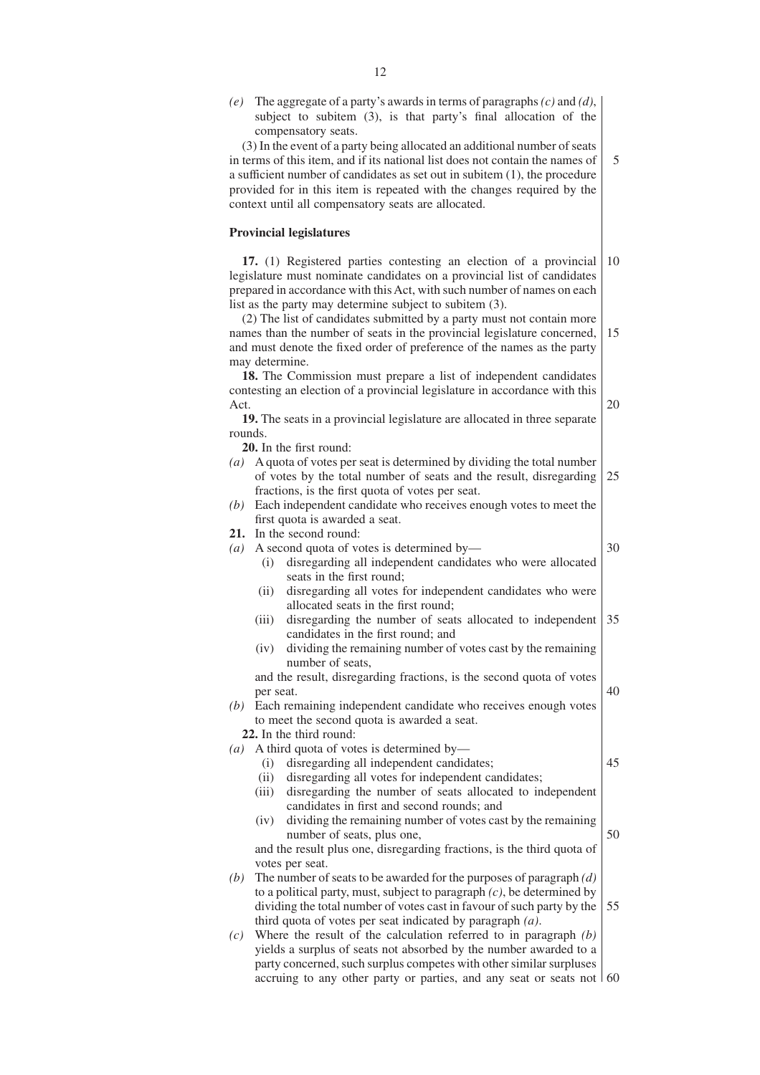|                   | (e) The aggregate of a party's awards in terms of paragraphs $(c)$ and $(d)$ ,<br>subject to subitem (3), is that party's final allocation of the<br>compensatory seats.<br>(3) In the event of a party being allocated an additional number of seats<br>in terms of this item, and if its national list does not contain the names of<br>a sufficient number of candidates as set out in subitem $(1)$ , the procedure<br>provided for in this item is repeated with the changes required by the<br>context until all compensatory seats are allocated. | 5  |
|-------------------|----------------------------------------------------------------------------------------------------------------------------------------------------------------------------------------------------------------------------------------------------------------------------------------------------------------------------------------------------------------------------------------------------------------------------------------------------------------------------------------------------------------------------------------------------------|----|
|                   | <b>Provincial legislatures</b>                                                                                                                                                                                                                                                                                                                                                                                                                                                                                                                           |    |
|                   | 17. (1) Registered parties contesting an election of a provincial<br>legislature must nominate candidates on a provincial list of candidates<br>prepared in accordance with this Act, with such number of names on each<br>list as the party may determine subject to subitem (3).                                                                                                                                                                                                                                                                       | 10 |
|                   | (2) The list of candidates submitted by a party must not contain more<br>names than the number of seats in the provincial legislature concerned,<br>and must denote the fixed order of preference of the names as the party<br>may determine.                                                                                                                                                                                                                                                                                                            | 15 |
|                   | 18. The Commission must prepare a list of independent candidates<br>contesting an election of a provincial legislature in accordance with this                                                                                                                                                                                                                                                                                                                                                                                                           |    |
| Act.<br>rounds.   | 19. The seats in a provincial legislature are allocated in three separate                                                                                                                                                                                                                                                                                                                                                                                                                                                                                | 20 |
|                   | 20. In the first round:                                                                                                                                                                                                                                                                                                                                                                                                                                                                                                                                  |    |
|                   | (a) A quota of votes per seat is determined by dividing the total number<br>of votes by the total number of seats and the result, disregarding<br>fractions, is the first quota of votes per seat.                                                                                                                                                                                                                                                                                                                                                       | 25 |
|                   | (b) Each independent candidate who receives enough votes to meet the                                                                                                                                                                                                                                                                                                                                                                                                                                                                                     |    |
|                   | first quota is awarded a seat.                                                                                                                                                                                                                                                                                                                                                                                                                                                                                                                           |    |
|                   | 21. In the second round:                                                                                                                                                                                                                                                                                                                                                                                                                                                                                                                                 | 30 |
|                   | (a) A second quota of votes is determined by—<br>disregarding all independent candidates who were allocated<br>(i)<br>seats in the first round;                                                                                                                                                                                                                                                                                                                                                                                                          |    |
|                   | disregarding all votes for independent candidates who were<br>(ii)<br>allocated seats in the first round;                                                                                                                                                                                                                                                                                                                                                                                                                                                |    |
|                   | disregarding the number of seats allocated to independent<br>(iii)<br>candidates in the first round; and                                                                                                                                                                                                                                                                                                                                                                                                                                                 | 35 |
|                   | dividing the remaining number of votes cast by the remaining<br>(iv)<br>number of seats,                                                                                                                                                                                                                                                                                                                                                                                                                                                                 |    |
|                   | and the result, disregarding fractions, is the second quota of votes<br>per seat.                                                                                                                                                                                                                                                                                                                                                                                                                                                                        | 40 |
|                   | (b) Each remaining independent candidate who receives enough votes<br>to meet the second quota is awarded a seat.                                                                                                                                                                                                                                                                                                                                                                                                                                        |    |
|                   | 22. In the third round:                                                                                                                                                                                                                                                                                                                                                                                                                                                                                                                                  |    |
| $\left( a\right)$ | A third quota of votes is determined by—                                                                                                                                                                                                                                                                                                                                                                                                                                                                                                                 | 45 |
|                   | disregarding all independent candidates;<br>(i)<br>disregarding all votes for independent candidates;<br>(ii)                                                                                                                                                                                                                                                                                                                                                                                                                                            |    |
|                   | disregarding the number of seats allocated to independent<br>(iii)<br>candidates in first and second rounds; and                                                                                                                                                                                                                                                                                                                                                                                                                                         |    |
|                   | dividing the remaining number of votes cast by the remaining<br>(iv)                                                                                                                                                                                                                                                                                                                                                                                                                                                                                     |    |
|                   | number of seats, plus one,                                                                                                                                                                                                                                                                                                                                                                                                                                                                                                                               | 50 |
|                   | and the result plus one, disregarding fractions, is the third quota of                                                                                                                                                                                                                                                                                                                                                                                                                                                                                   |    |
| (b)               | votes per seat.<br>The number of seats to be awarded for the purposes of paragraph $(d)$                                                                                                                                                                                                                                                                                                                                                                                                                                                                 |    |
|                   | to a political party, must, subject to paragraph $(c)$ , be determined by                                                                                                                                                                                                                                                                                                                                                                                                                                                                                |    |
|                   | dividing the total number of votes cast in favour of such party by the                                                                                                                                                                                                                                                                                                                                                                                                                                                                                   | 55 |
|                   | third quota of votes per seat indicated by paragraph $(a)$ .                                                                                                                                                                                                                                                                                                                                                                                                                                                                                             |    |
| (c)               | Where the result of the calculation referred to in paragraph $(b)$                                                                                                                                                                                                                                                                                                                                                                                                                                                                                       |    |
|                   | yields a surplus of seats not absorbed by the number awarded to a<br>party concerned, such surplus competes with other similar surpluses                                                                                                                                                                                                                                                                                                                                                                                                                 |    |

accruing to any other party or parties, and any seat or seats not 60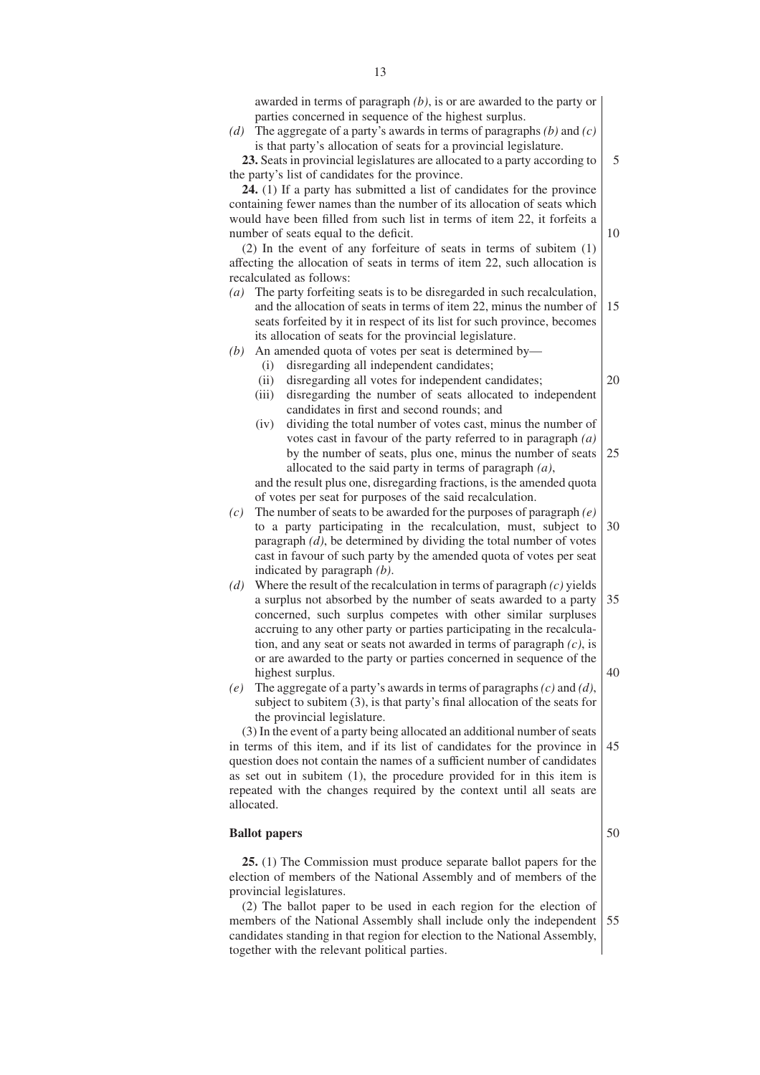awarded in terms of paragraph *(b)*, is or are awarded to the party or parties concerned in sequence of the highest surplus.

*(d)* The aggregate of a party's awards in terms of paragraphs *(b)* and *(c)* is that party's allocation of seats for a provincial legislature.

**23.** Seats in provincial legislatures are allocated to a party according to the party's list of candidates for the province. 5

**24.** (1) If a party has submitted a list of candidates for the province containing fewer names than the number of its allocation of seats which would have been filled from such list in terms of item 22, it forfeits a number of seats equal to the deficit.

(2) In the event of any forfeiture of seats in terms of subitem (1) affecting the allocation of seats in terms of item 22, such allocation is recalculated as follows:

*(a)* The party forfeiting seats is to be disregarded in such recalculation, and the allocation of seats in terms of item 22, minus the number of seats forfeited by it in respect of its list for such province, becomes its allocation of seats for the provincial legislature. 15

*(b)* An amended quota of votes per seat is determined by—

- (i) disregarding all independent candidates;
- (ii) disregarding all votes for independent candidates;
- (iii) disregarding the number of seats allocated to independent candidates in first and second rounds; and
- (iv) dividing the total number of votes cast, minus the number of votes cast in favour of the party referred to in paragraph *(a)* by the number of seats, plus one, minus the number of seats allocated to the said party in terms of paragraph *(a)*, 25

and the result plus one, disregarding fractions, is the amended quota of votes per seat for purposes of the said recalculation.

- *(c)* The number of seats to be awarded for the purposes of paragraph *(e)* to a party participating in the recalculation, must, subject to paragraph *(d)*, be determined by dividing the total number of votes cast in favour of such party by the amended quota of votes per seat indicated by paragraph *(b)*. 30
- *(d)* Where the result of the recalculation in terms of paragraph *(c)* yields a surplus not absorbed by the number of seats awarded to a party concerned, such surplus competes with other similar surpluses accruing to any other party or parties participating in the recalculation, and any seat or seats not awarded in terms of paragraph *(c)*, is or are awarded to the party or parties concerned in sequence of the highest surplus. 35 40
- *(e)* The aggregate of a party's awards in terms of paragraphs *(c)* and *(d)*, subject to subitem (3), is that party's final allocation of the seats for the provincial legislature.

(3) In the event of a party being allocated an additional number of seats in terms of this item, and if its list of candidates for the province in question does not contain the names of a sufficient number of candidates as set out in subitem (1), the procedure provided for in this item is repeated with the changes required by the context until all seats are allocated. 45

#### **Ballot papers**

**25.** (1) The Commission must produce separate ballot papers for the election of members of the National Assembly and of members of the provincial legislatures.

(2) The ballot paper to be used in each region for the election of members of the National Assembly shall include only the independent candidates standing in that region for election to the National Assembly, together with the relevant political parties. 55

50

20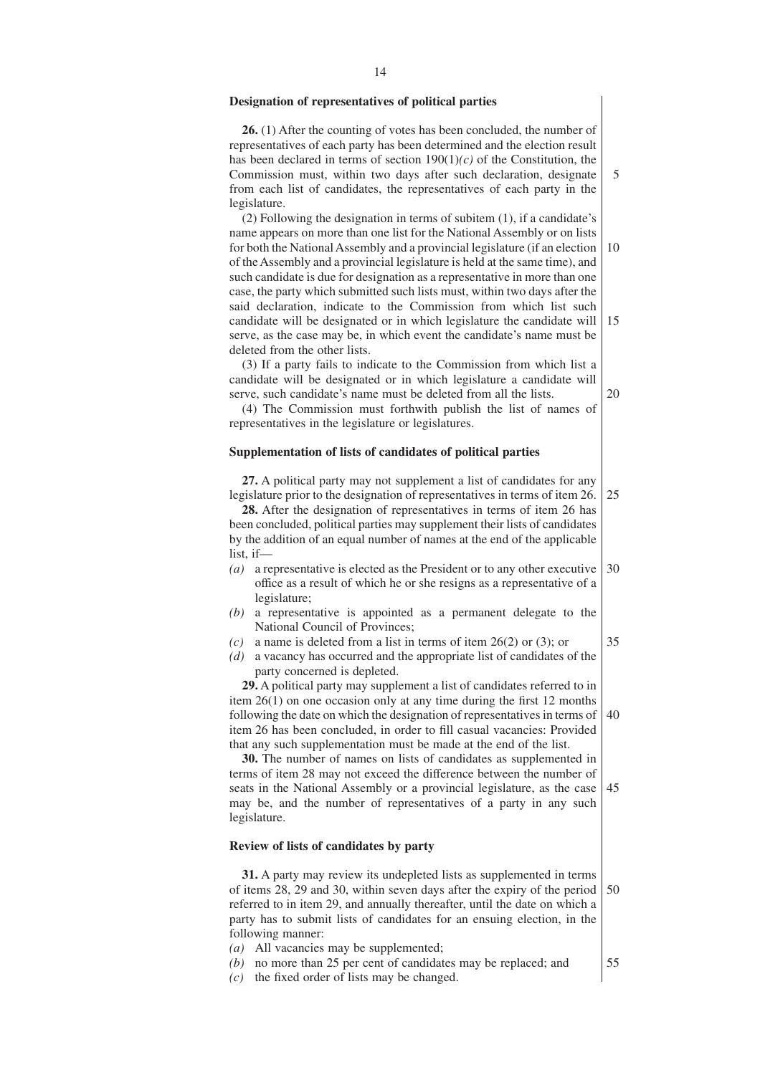#### **Designation of representatives of political parties**

**26.** (1) After the counting of votes has been concluded, the number of representatives of each party has been determined and the election result has been declared in terms of section 190(1)*(c)* of the Constitution, the Commission must, within two days after such declaration, designate from each list of candidates, the representatives of each party in the legislature.

(2) Following the designation in terms of subitem (1), if a candidate's name appears on more than one list for the National Assembly or on lists for both the National Assembly and a provincial legislature (if an election of the Assembly and a provincial legislature is held at the same time), and such candidate is due for designation as a representative in more than one case, the party which submitted such lists must, within two days after the said declaration, indicate to the Commission from which list such candidate will be designated or in which legislature the candidate will serve, as the case may be, in which event the candidate's name must be deleted from the other lists. 10 15

(3) If a party fails to indicate to the Commission from which list a candidate will be designated or in which legislature a candidate will serve, such candidate's name must be deleted from all the lists.

(4) The Commission must forthwith publish the list of names of representatives in the legislature or legislatures.

#### **Supplementation of lists of candidates of political parties**

**27.** A political party may not supplement a list of candidates for any legislature prior to the designation of representatives in terms of item 26. 25

**28.** After the designation of representatives in terms of item 26 has been concluded, political parties may supplement their lists of candidates by the addition of an equal number of names at the end of the applicable list, if—

- *(a)* a representative is elected as the President or to any other executive office as a result of which he or she resigns as a representative of a legislature; 30
- *(b)* a representative is appointed as a permanent delegate to the National Council of Provinces;
- *(c)* a name is deleted from a list in terms of item 26(2) or (3); or
- *(d)* a vacancy has occurred and the appropriate list of candidates of the party concerned is depleted.

**29.** A political party may supplement a list of candidates referred to in item 26(1) on one occasion only at any time during the first 12 months following the date on which the designation of representatives in terms of item 26 has been concluded, in order to fill casual vacancies: Provided that any such supplementation must be made at the end of the list. 40

**30.** The number of names on lists of candidates as supplemented in terms of item 28 may not exceed the difference between the number of seats in the National Assembly or a provincial legislature, as the case may be, and the number of representatives of a party in any such legislature. 45

## **Review of lists of candidates by party**

**31.** A party may review its undepleted lists as supplemented in terms of items 28, 29 and 30, within seven days after the expiry of the period referred to in item 29, and annually thereafter, until the date on which a party has to submit lists of candidates for an ensuing election, in the following manner: 50

- *(a)* All vacancies may be supplemented;
- *(b)* no more than 25 per cent of candidates may be replaced; and
- *(c)* the fixed order of lists may be changed.

20

35

55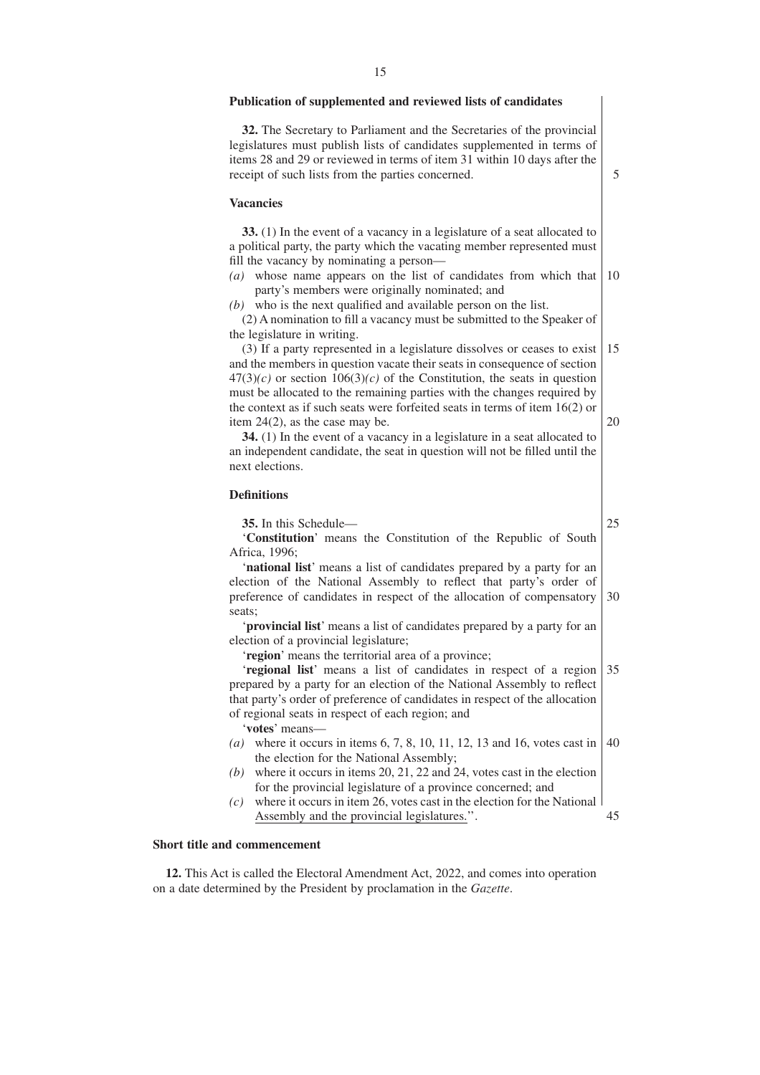#### **Publication of supplemented and reviewed lists of candidates**

**32.** The Secretary to Parliament and the Secretaries of the provincial legislatures must publish lists of candidates supplemented in terms of items 28 and 29 or reviewed in terms of item 31 within 10 days after the receipt of such lists from the parties concerned.

#### **Vacancies**

**33.** (1) In the event of a vacancy in a legislature of a seat allocated to a political party, the party which the vacating member represented must fill the vacancy by nominating a person—

- *(a)* whose name appears on the list of candidates from which that party's members were originally nominated; and 10
- *(b)* who is the next qualified and available person on the list.

(2) A nomination to fill a vacancy must be submitted to the Speaker of the legislature in writing.

(3) If a party represented in a legislature dissolves or ceases to exist and the members in question vacate their seats in consequence of section  $47(3)(c)$  or section  $106(3)(c)$  of the Constitution, the seats in question must be allocated to the remaining parties with the changes required by the context as if such seats were forfeited seats in terms of item 16(2) or item 24(2), as the case may be. 15 20

**34.** (1) In the event of a vacancy in a legislature in a seat allocated to an independent candidate, the seat in question will not be filled until the next elections.

#### **Definitions**

**35.** In this Schedule—

25

5

'**Constitution**' means the Constitution of the Republic of South Africa, 1996;

'**national list**' means a list of candidates prepared by a party for an election of the National Assembly to reflect that party's order of preference of candidates in respect of the allocation of compensatory seats; 30

'**provincial list**' means a list of candidates prepared by a party for an election of a provincial legislature;

'**region**' means the territorial area of a province;

'**regional list**' means a list of candidates in respect of a region prepared by a party for an election of the National Assembly to reflect that party's order of preference of candidates in respect of the allocation of regional seats in respect of each region; and 35

'**votes**' means—

- *(a)* where it occurs in items 6, 7, 8, 10, 11, 12, 13 and 16, votes cast in the election for the National Assembly; 40
- *(b)* where it occurs in items 20, 21, 22 and 24, votes cast in the election for the provincial legislature of a province concerned; and
- *(c)* where it occurs in item 26, votes cast in the election for the National Assembly and the provincial legislatures.''. 45

#### **Short title and commencement**

**12.** This Act is called the Electoral Amendment Act, 2022, and comes into operation on a date determined by the President by proclamation in the *Gazette*.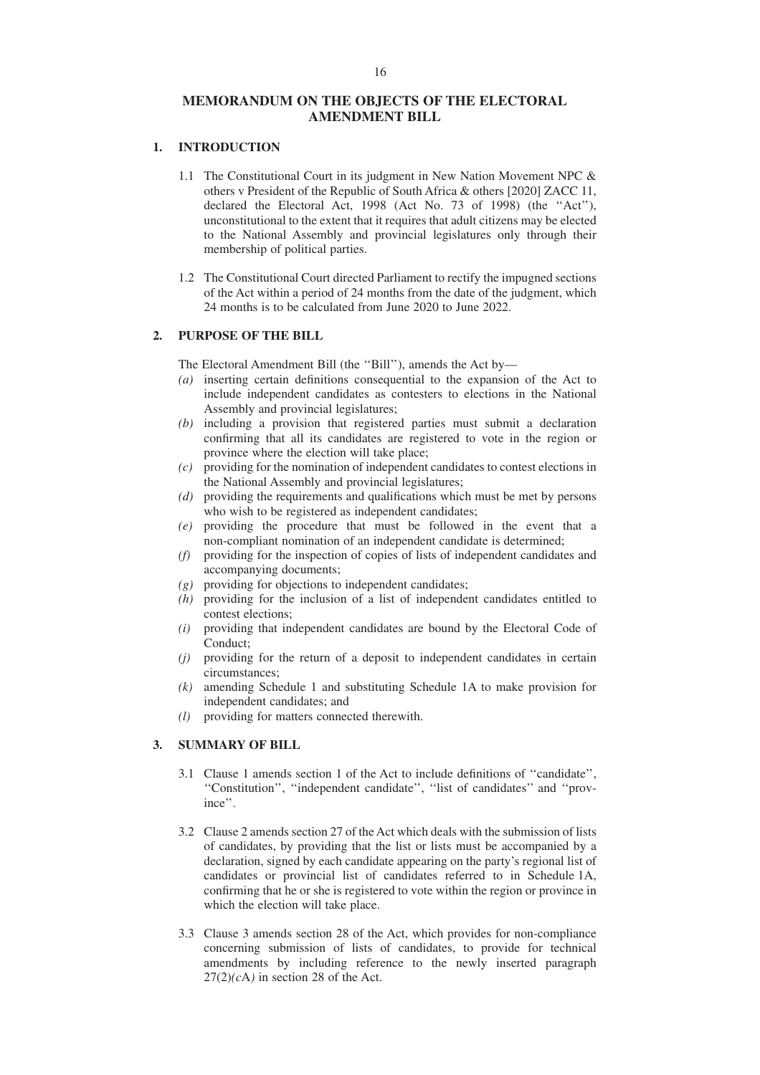## **MEMORANDUM ON THE OBJECTS OF THE ELECTORAL AMENDMENT BILL**

## **1. INTRODUCTION**

- 1.1 The Constitutional Court in its judgment in New Nation Movement NPC & others v President of the Republic of South Africa & others [2020] ZACC 11, declared the Electoral Act, 1998 (Act No. 73 of 1998) (the ''Act''), unconstitutional to the extent that it requires that adult citizens may be elected to the National Assembly and provincial legislatures only through their membership of political parties.
- 1.2 The Constitutional Court directed Parliament to rectify the impugned sections of the Act within a period of 24 months from the date of the judgment, which 24 months is to be calculated from June 2020 to June 2022.

## **2. PURPOSE OF THE BILL**

The Electoral Amendment Bill (the ''Bill''), amends the Act by—

- *(a)* inserting certain definitions consequential to the expansion of the Act to include independent candidates as contesters to elections in the National Assembly and provincial legislatures;
- *(b)* including a provision that registered parties must submit a declaration confirming that all its candidates are registered to vote in the region or province where the election will take place;
- *(c)* providing for the nomination of independent candidates to contest elections in the National Assembly and provincial legislatures;
- *(d)* providing the requirements and qualifications which must be met by persons who wish to be registered as independent candidates;
- *(e)* providing the procedure that must be followed in the event that a non-compliant nomination of an independent candidate is determined;
- *(f)* providing for the inspection of copies of lists of independent candidates and accompanying documents;
- *(g)* providing for objections to independent candidates;
- *(h)* providing for the inclusion of a list of independent candidates entitled to contest elections;
- *(i)* providing that independent candidates are bound by the Electoral Code of Conduct;
- *(j)* providing for the return of a deposit to independent candidates in certain circumstances;
- *(k)* amending Schedule 1 and substituting Schedule 1A to make provision for independent candidates; and
- *(l)* providing for matters connected therewith.

## **3. SUMMARY OF BILL**

- 3.1 Clause 1 amends section 1 of the Act to include definitions of ''candidate'', ''Constitution'', ''independent candidate'', ''list of candidates'' and ''province''.
- 3.2 Clause 2 amends section 27 of the Act which deals with the submission of lists of candidates, by providing that the list or lists must be accompanied by a declaration, signed by each candidate appearing on the party's regional list of candidates or provincial list of candidates referred to in Schedule 1A, confirming that he or she is registered to vote within the region or province in which the election will take place.
- 3.3 Clause 3 amends section 28 of the Act, which provides for non-compliance concerning submission of lists of candidates, to provide for technical amendments by including reference to the newly inserted paragraph  $27(2)(c)$  in section 28 of the Act.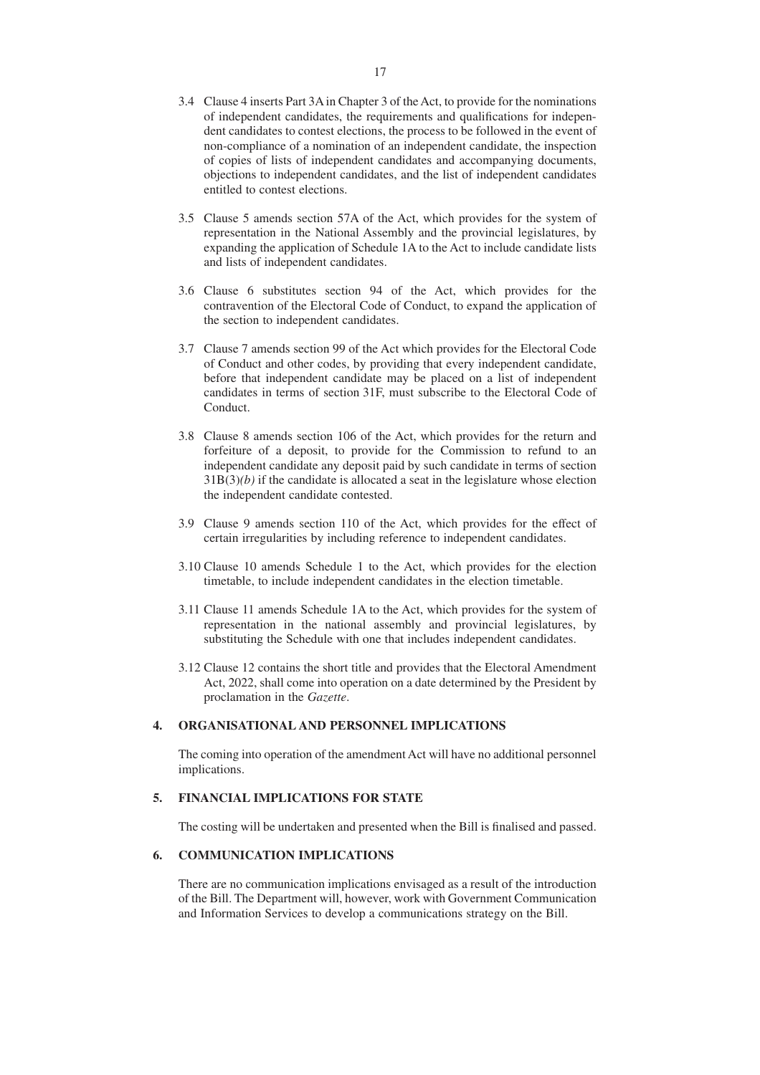- 3.4 Clause 4 inserts Part 3A in Chapter 3 of the Act, to provide for the nominations of independent candidates, the requirements and qualifications for independent candidates to contest elections, the process to be followed in the event of non-compliance of a nomination of an independent candidate, the inspection of copies of lists of independent candidates and accompanying documents, objections to independent candidates, and the list of independent candidates entitled to contest elections.
- 3.5 Clause 5 amends section 57A of the Act, which provides for the system of representation in the National Assembly and the provincial legislatures, by expanding the application of Schedule 1A to the Act to include candidate lists and lists of independent candidates.
- 3.6 Clause 6 substitutes section 94 of the Act, which provides for the contravention of the Electoral Code of Conduct, to expand the application of the section to independent candidates.
- 3.7 Clause 7 amends section 99 of the Act which provides for the Electoral Code of Conduct and other codes, by providing that every independent candidate, before that independent candidate may be placed on a list of independent candidates in terms of section 31F, must subscribe to the Electoral Code of Conduct.
- 3.8 Clause 8 amends section 106 of the Act, which provides for the return and forfeiture of a deposit, to provide for the Commission to refund to an independent candidate any deposit paid by such candidate in terms of section  $31B(3)(b)$  if the candidate is allocated a seat in the legislature whose election the independent candidate contested.
- 3.9 Clause 9 amends section 110 of the Act, which provides for the effect of certain irregularities by including reference to independent candidates.
- 3.10 Clause 10 amends Schedule 1 to the Act, which provides for the election timetable, to include independent candidates in the election timetable.
- 3.11 Clause 11 amends Schedule 1A to the Act, which provides for the system of representation in the national assembly and provincial legislatures, by substituting the Schedule with one that includes independent candidates.
- 3.12 Clause 12 contains the short title and provides that the Electoral Amendment Act, 2022, shall come into operation on a date determined by the President by proclamation in the *Gazette*.

## **4. ORGANISATIONAL AND PERSONNEL IMPLICATIONS**

The coming into operation of the amendment Act will have no additional personnel implications.

## **5. FINANCIAL IMPLICATIONS FOR STATE**

The costing will be undertaken and presented when the Bill is finalised and passed.

### **6. COMMUNICATION IMPLICATIONS**

There are no communication implications envisaged as a result of the introduction of the Bill. The Department will, however, work with Government Communication and Information Services to develop a communications strategy on the Bill.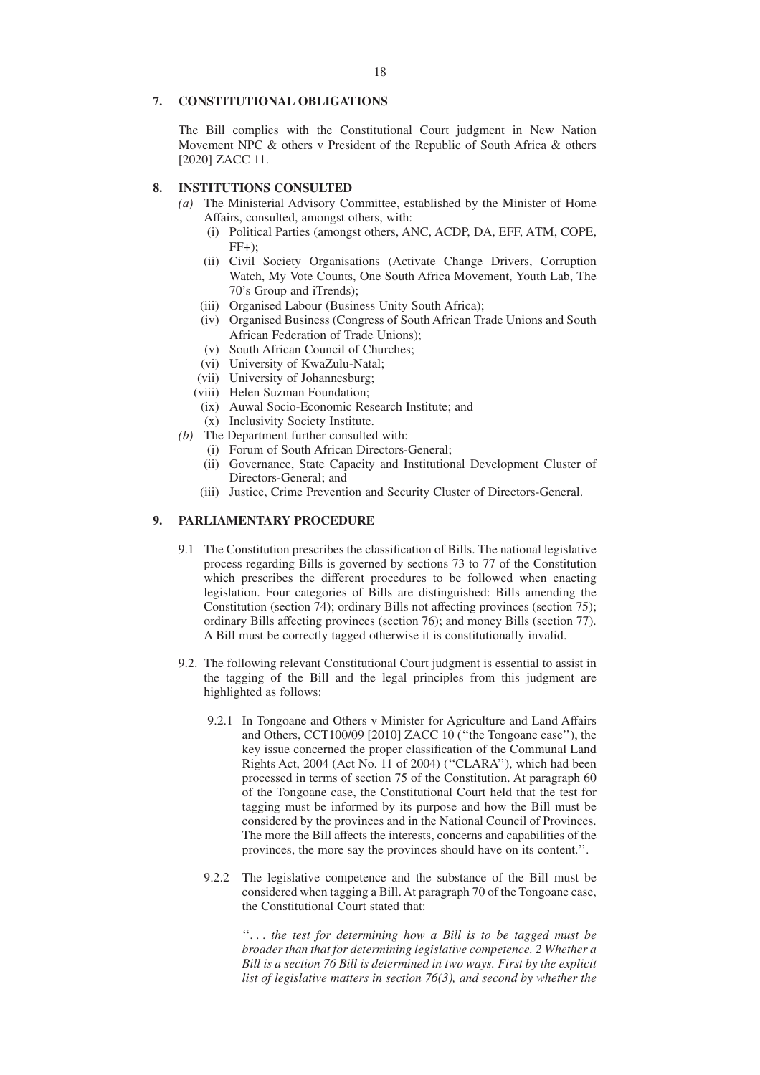#### 18

#### **7. CONSTITUTIONAL OBLIGATIONS**

The Bill complies with the Constitutional Court judgment in New Nation Movement NPC & others v President of the Republic of South Africa & others [2020] ZACC 11.

## **8. INSTITUTIONS CONSULTED**

- *(a)* The Ministerial Advisory Committee, established by the Minister of Home Affairs, consulted, amongst others, with:
	- (i) Political Parties (amongst others, ANC, ACDP, DA, EFF, ATM, COPE,  $FF+$ ):
	- (ii) Civil Society Organisations (Activate Change Drivers, Corruption Watch, My Vote Counts, One South Africa Movement, Youth Lab, The 70's Group and iTrends);
	- (iii) Organised Labour (Business Unity South Africa);
	- (iv) Organised Business (Congress of South African Trade Unions and South African Federation of Trade Unions);
	- (v) South African Council of Churches;
	- (vi) University of KwaZulu-Natal;
	- (vii) University of Johannesburg;
	- (viii) Helen Suzman Foundation;
	- (ix) Auwal Socio-Economic Research Institute; and
	- (x) Inclusivity Society Institute.
- *(b)* The Department further consulted with:
	- (i) Forum of South African Directors-General;
	- (ii) Governance, State Capacity and Institutional Development Cluster of Directors-General; and
	- (iii) Justice, Crime Prevention and Security Cluster of Directors-General.

## **9. PARLIAMENTARY PROCEDURE**

- 9.1 The Constitution prescribes the classification of Bills. The national legislative process regarding Bills is governed by sections 73 to 77 of the Constitution which prescribes the different procedures to be followed when enacting legislation. Four categories of Bills are distinguished: Bills amending the Constitution (section 74); ordinary Bills not affecting provinces (section 75); ordinary Bills affecting provinces (section 76); and money Bills (section 77). A Bill must be correctly tagged otherwise it is constitutionally invalid.
- 9.2. The following relevant Constitutional Court judgment is essential to assist in the tagging of the Bill and the legal principles from this judgment are highlighted as follows:
	- 9.2.1 In Tongoane and Others v Minister for Agriculture and Land Affairs and Others, CCT100/09 [2010] ZACC 10 (''the Tongoane case''), the key issue concerned the proper classification of the Communal Land Rights Act, 2004 (Act No. 11 of 2004) (''CLARA''), which had been processed in terms of section 75 of the Constitution. At paragraph 60 of the Tongoane case, the Constitutional Court held that the test for tagging must be informed by its purpose and how the Bill must be considered by the provinces and in the National Council of Provinces. The more the Bill affects the interests, concerns and capabilities of the provinces, the more say the provinces should have on its content.''.
	- 9.2.2 The legislative competence and the substance of the Bill must be considered when tagging a Bill. At paragraph 70 of the Tongoane case, the Constitutional Court stated that:

''. . . *the test for determining how a Bill is to be tagged must be broader than that for determining legislative competence. 2 Whether a Bill is a section 76 Bill is determined in two ways. First by the explicit list of legislative matters in section 76(3), and second by whether the*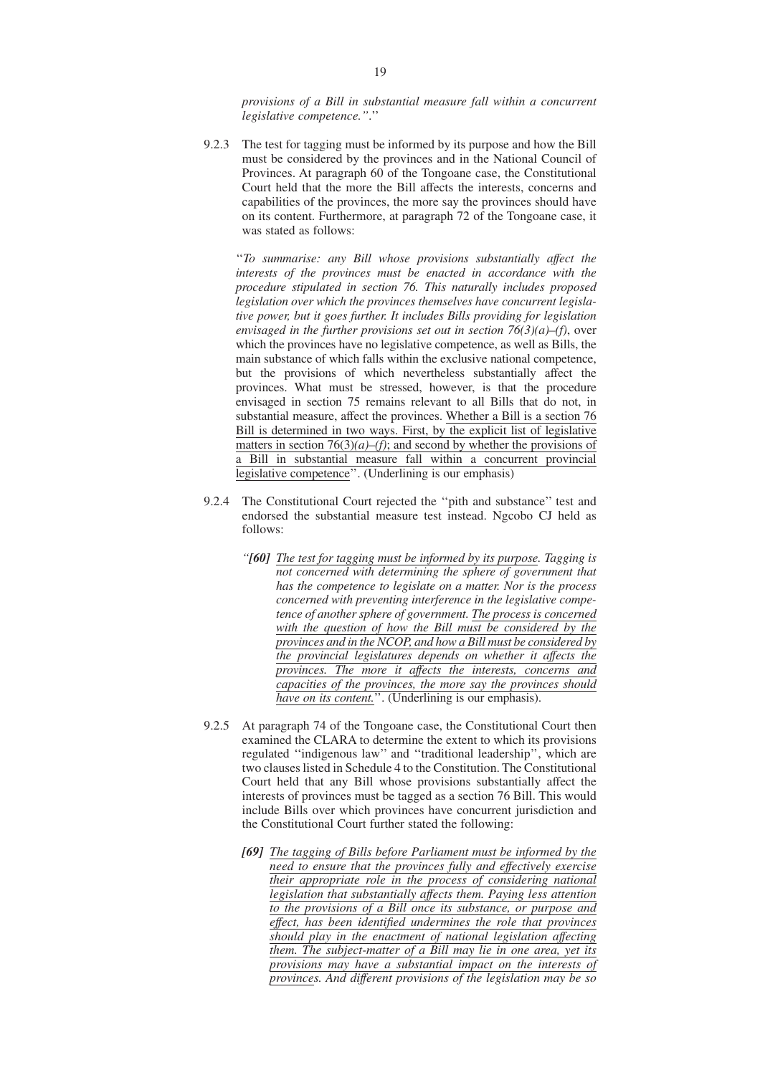*provisions of a Bill in substantial measure fall within a concurrent legislative competence.''*.''

9.2.3 The test for tagging must be informed by its purpose and how the Bill must be considered by the provinces and in the National Council of Provinces. At paragraph 60 of the Tongoane case, the Constitutional Court held that the more the Bill affects the interests, concerns and capabilities of the provinces, the more say the provinces should have on its content. Furthermore, at paragraph 72 of the Tongoane case, it was stated as follows:

''*To summarise: any Bill whose provisions substantially affect the interests of the provinces must be enacted in accordance with the procedure stipulated in section 76. This naturally includes proposed legislation over which the provinces themselves have concurrent legislative power, but it goes further. It includes Bills providing for legislation envisaged in the further provisions set out in section 76(3)(a)–(f)*, over which the provinces have no legislative competence, as well as Bills, the main substance of which falls within the exclusive national competence, but the provisions of which nevertheless substantially affect the provinces. What must be stressed, however, is that the procedure envisaged in section 75 remains relevant to all Bills that do not, in substantial measure, affect the provinces. Whether a Bill is a section 76 Bill is determined in two ways. First, by the explicit list of legislative matters in section  $76(3)(a)$ –(f); and second by whether the provisions of a Bill in substantial measure fall within a concurrent provincial legislative competence''. (Underlining is our emphasis)

- 9.2.4 The Constitutional Court rejected the ''pith and substance'' test and endorsed the substantial measure test instead. Ngcobo CJ held as follows:
	- *''[60] The test for tagging must be informed by its purpose. Tagging is not concerned with determining the sphere of government that has the competence to legislate on a matter. Nor is the process concerned with preventing interference in the legislative competence of another sphere of government. The process is concerned with the question of how the Bill must be considered by the provinces and in the NCOP, and how a Bill must be considered by the provincial legislatures depends on whether it affects the provinces. The more it affects the interests, concerns and capacities of the provinces, the more say the provinces should have on its content.*". (Underlining is our emphasis).
- 9.2.5 At paragraph 74 of the Tongoane case, the Constitutional Court then examined the CLARA to determine the extent to which its provisions regulated ''indigenous law'' and ''traditional leadership'', which are two clauses listed in Schedule 4 to the Constitution. The Constitutional Court held that any Bill whose provisions substantially affect the interests of provinces must be tagged as a section 76 Bill. This would include Bills over which provinces have concurrent jurisdiction and the Constitutional Court further stated the following:
	- *[69] The tagging of Bills before Parliament must be informed by the need to ensure that the provinces fully and effectively exercise their appropriate role in the process of considering national legislation that substantially affects them. Paying less attention to the provisions of a Bill once its substance, or purpose and effect, has been identified undermines the role that provinces should play in the enactment of national legislation affecting them. The subject-matter of a Bill may lie in one area, yet its provisions may have a substantial impact on the interests of provinces. And different provisions of the legislation may be so*